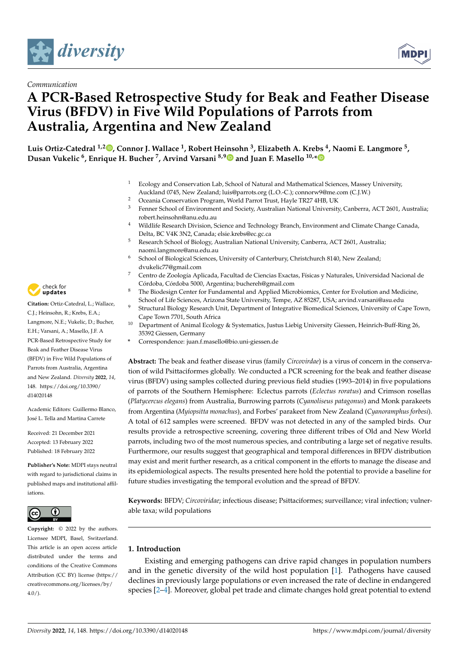



# **A PCR-Based Retrospective Study for Beak and Feather Disease Virus (BFDV) in Five Wild Populations of Parrots from Australia, Argentina and New Zealand**

**Luis Ortiz-Catedral 1,[2](https://orcid.org/0000-0001-5707-5140) , Connor J. Wallace <sup>1</sup> , Robert Heinsohn <sup>3</sup> , Elizabeth A. Krebs <sup>4</sup> , Naomi E. Langmore <sup>5</sup> , Dusan Vukelic <sup>6</sup> , Enrique H. Bucher <sup>7</sup> , Arvind Varsani 8,[9](https://orcid.org/0000-0003-4111-2415) and Juan F. Masello 10,[\\*](https://orcid.org/0000-0002-6826-4016)**

- $1$  Ecology and Conservation Lab, School of Natural and Mathematical Sciences, Massey University, Auckland 0745, New Zealand; luis@parrots.org (L.O.-C.); connorw9@me.com (C.J.W.)
- <sup>2</sup> Oceania Conservation Program, World Parrot Trust, Hayle TR27 4HB, UK<br><sup>3</sup> Eenner School of Environment and Society, Australian National University
- <sup>3</sup> Fenner School of Environment and Society, Australian National University, Canberra, ACT 2601, Australia; robert.heinsohn@anu.edu.au
- <sup>4</sup> Wildlife Research Division, Science and Technology Branch, Environment and Climate Change Canada, Delta, BC V4K 3N2, Canada; elsie.krebs@ec.gc.ca
- <sup>5</sup> Research School of Biology, Australian National University, Canberra, ACT 2601, Australia; naomi.langmore@anu.edu.au
- <sup>6</sup> School of Biological Sciences, University of Canterbury, Christchurch 8140, New Zealand; dvukelic77@gmail.com
- <sup>7</sup> Centro de Zoología Aplicada, Facultad de Ciencias Exactas, Físicas y Naturales, Universidad Nacional de Córdoba, Córdoba 5000, Argentina; buchereh@gmail.com
- <sup>8</sup> The Biodesign Center for Fundamental and Applied Microbiomics, Center for Evolution and Medicine, School of Life Sciences, Arizona State University, Tempe, AZ 85287, USA; arvind.varsani@asu.edu
- <sup>9</sup> Structural Biology Research Unit, Department of Integrative Biomedical Sciences, University of Cape Town, Cape Town 7701, South Africa
- <sup>10</sup> Department of Animal Ecology & Systematics, Justus Liebig University Giessen, Heinrich-Buff-Ring 26, 35392 Giessen, Germany
- **\*** Correspondence: juan.f.masello@bio.uni-giessen.de

**Abstract:** The beak and feather disease virus (family *Circovirdae*) is a virus of concern in the conservation of wild Psittaciformes globally. We conducted a PCR screening for the beak and feather disease virus (BFDV) using samples collected during previous field studies (1993–2014) in five populations of parrots of the Southern Hemisphere: Eclectus parrots (*Eclectus roratus*) and Crimson rosellas (*Platycercus elegans*) from Australia, Burrowing parrots (*Cyanoliseus patagonus*) and Monk parakeets from Argentina (*Myiopsitta monachus*), and Forbes' parakeet from New Zealand (*Cyanoramphus forbesi*). A total of 612 samples were screened. BFDV was not detected in any of the sampled birds. Our results provide a retrospective screening, covering three different tribes of Old and New World parrots, including two of the most numerous species, and contributing a large set of negative results. Furthermore, our results suggest that geographical and temporal differences in BFDV distribution may exist and merit further research, as a critical component in the efforts to manage the disease and its epidemiological aspects. The results presented here hold the potential to provide a baseline for future studies investigating the temporal evolution and the spread of BFDV.

**Keywords:** BFDV; *Circoviridae*; infectious disease; Psittaciformes; surveillance; viral infection; vulnerable taxa; wild populations

# **1. Introduction**

Existing and emerging pathogens can drive rapid changes in population numbers and in the genetic diversity of the wild host population [\[1\]](#page-4-0). Pathogens have caused declines in previously large populations or even increased the rate of decline in endangered species [\[2](#page-4-1)[–4\]](#page-4-2). Moreover, global pet trade and climate changes hold great potential to extend



**Citation:** Ortiz-Catedral, L.; Wallace, C.J.; Heinsohn, R.; Krebs, E.A.; Langmore, N.E.; Vukelic, D.; Bucher, E.H.; Varsani, A.; Masello, J.F. A PCR-Based Retrospective Study for Beak and Feather Disease Virus (BFDV) in Five Wild Populations of Parrots from Australia, Argentina and New Zealand. *Diversity* **2022**, *14*, 148. [https://doi.org/10.3390/](https://doi.org/10.3390/d14020148) [d14020148](https://doi.org/10.3390/d14020148)

Academic Editors: Guillermo Blanco, José L. Tella and Martina Carrete

Received: 21 December 2021 Accepted: 13 February 2022 Published: 18 February 2022

**Publisher's Note:** MDPI stays neutral with regard to jurisdictional claims in published maps and institutional affiliations.



**Copyright:** © 2022 by the authors. Licensee MDPI, Basel, Switzerland. This article is an open access article distributed under the terms and conditions of the Creative Commons Attribution (CC BY) license [\(https://](https://creativecommons.org/licenses/by/4.0/) [creativecommons.org/licenses/by/](https://creativecommons.org/licenses/by/4.0/)  $4.0/$ ).

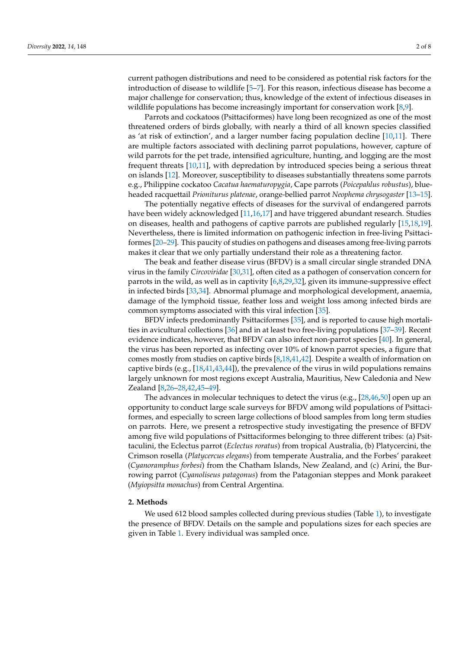current pathogen distributions and need to be considered as potential risk factors for the introduction of disease to wildlife [\[5](#page-4-3)[–7\]](#page-5-0). For this reason, infectious disease has become a major challenge for conservation; thus, knowledge of the extent of infectious diseases in wildlife populations has become increasingly important for conservation work [\[8](#page-5-1)[,9\]](#page-5-2).

Parrots and cockatoos (Psittaciformes) have long been recognized as one of the most threatened orders of birds globally, with nearly a third of all known species classified as 'at risk of extinction', and a larger number facing population decline [\[10,](#page-5-3)[11\]](#page-5-4). There are multiple factors associated with declining parrot populations, however, capture of wild parrots for the pet trade, intensified agriculture, hunting, and logging are the most frequent threats [\[10](#page-5-3)[,11\]](#page-5-4), with depredation by introduced species being a serious threat on islands [\[12\]](#page-5-5). Moreover, susceptibility to diseases substantially threatens some parrots e.g., Philippine cockatoo *Cacatua haematuropygia*, Cape parrots (*Poicepahlus robustus*), blueheaded racquettail *Prioniturus platenae*, orange-bellied parrot *Neophema chrysogaster* [\[13](#page-5-6)[–15\]](#page-5-7).

The potentially negative effects of diseases for the survival of endangered parrots have been widely acknowledged [\[11](#page-5-4)[,16,](#page-5-8)[17\]](#page-5-9) and have triggered abundant research. Studies on diseases, health and pathogens of captive parrots are published regularly [\[15,](#page-5-7)[18,](#page-5-10)[19\]](#page-5-11). Nevertheless, there is limited information on pathogenic infection in free-living Psittaciformes [\[20–](#page-5-12)[29\]](#page-5-13). This paucity of studies on pathogens and diseases among free-living parrots makes it clear that we only partially understand their role as a threatening factor.

The beak and feather disease virus (BFDV) is a small circular single stranded DNA virus in the family *Circoviridae* [\[30,](#page-6-0)[31\]](#page-6-1), often cited as a pathogen of conservation concern for parrots in the wild, as well as in captivity [\[6](#page-5-14)[,8](#page-5-1)[,29](#page-5-13)[,32\]](#page-6-2), given its immune-suppressive effect in infected birds [\[33,](#page-6-3)[34\]](#page-6-4). Abnormal plumage and morphological development, anaemia, damage of the lymphoid tissue, feather loss and weight loss among infected birds are common symptoms associated with this viral infection [\[35\]](#page-6-5).

BFDV infects predominantly Psittaciformes [\[35\]](#page-6-5), and is reported to cause high mortalities in avicultural collections [\[36\]](#page-6-6) and in at least two free-living populations [\[37](#page-6-7)[–39\]](#page-6-8). Recent evidence indicates, however, that BFDV can also infect non-parrot species [\[40\]](#page-6-9). In general, the virus has been reported as infecting over 10% of known parrot species, a figure that comes mostly from studies on captive birds [\[8](#page-5-1)[,18](#page-5-10)[,41](#page-6-10)[,42\]](#page-6-11). Despite a wealth of information on captive birds (e.g., [\[18,](#page-5-10)[41,](#page-6-10)[43,](#page-6-12)[44\]](#page-6-13)), the prevalence of the virus in wild populations remains largely unknown for most regions except Australia, Mauritius, New Caledonia and New Zealand [\[8](#page-5-1)[,26–](#page-5-15)[28,](#page-5-16)[42,](#page-6-11)[45–](#page-6-14)[49\]](#page-6-15).

The advances in molecular techniques to detect the virus (e.g., [\[28](#page-5-16)[,46](#page-6-16)[,50\]](#page-6-17) open up an opportunity to conduct large scale surveys for BFDV among wild populations of Psittaciformes, and especially to screen large collections of blood samples from long term studies on parrots. Here, we present a retrospective study investigating the presence of BFDV among five wild populations of Psittaciformes belonging to three different tribes: (a) Psittaculini, the Eclectus parrot (*Eclectus roratus*) from tropical Australia, (b) Platycercini, the Crimson rosella (*Platycercus elegans*) from temperate Australia, and the Forbes' parakeet (*Cyanoramphus forbesi*) from the Chatham Islands, New Zealand, and (c) Arini, the Burrowing parrot (*Cyanoliseus patagonus*) from the Patagonian steppes and Monk parakeet (*Myiopsitta monachus*) from Central Argentina.

## **2. Methods**

We used 612 blood samples collected during previous studies (Table [1\)](#page-2-0), to investigate the presence of BFDV. Details on the sample and populations sizes for each species are given in Table [1.](#page-2-0) Every individual was sampled once.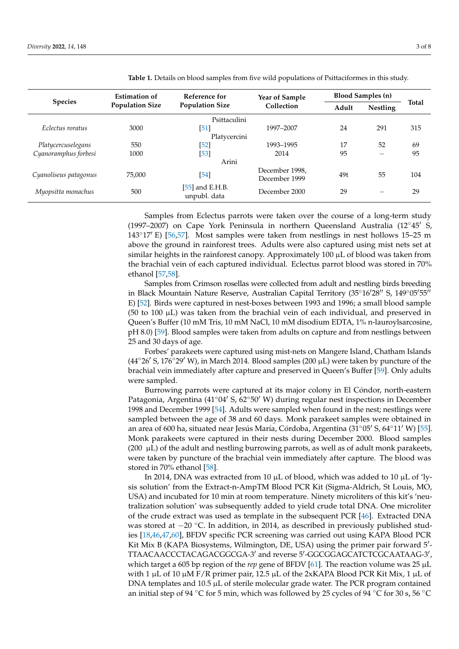| <b>Species</b>        | <b>Estimation of</b><br><b>Population Size</b> | Reference for<br><b>Population Size</b> | <b>Year of Sample</b><br>Collection | <b>Blood Samples (n)</b> |                                |       |
|-----------------------|------------------------------------------------|-----------------------------------------|-------------------------------------|--------------------------|--------------------------------|-------|
|                       |                                                |                                         |                                     | Adult                    | <b>Nestling</b>                | Total |
| Psittaculini          |                                                |                                         |                                     |                          |                                |       |
| Eclectus roratus      | 3000                                           | [51]                                    | 1997-2007                           | 24                       | 291                            | 315   |
| Platycercini          |                                                |                                         |                                     |                          |                                |       |
| Platycercuselegans    | 550                                            | $[52]$                                  | 1993-1995                           | 17                       | 52                             | 69    |
| Cyanoramphus forbesi  | 1000                                           | $[53]$                                  | 2014                                | 95                       | $\qquad \qquad \longleftarrow$ | 95    |
| Arini                 |                                                |                                         |                                     |                          |                                |       |
| Cyanoliseus patagonus | 75,000                                         | $[54]$                                  | December 1998,<br>December 1999     | 49t                      | 55                             | 104   |
| Myopsitta monachus    | 500                                            | $[55]$ and E.H.B.<br>unpubl. data       | December 2000                       | 29                       |                                | 29    |

<span id="page-2-0"></span>**Table 1.** Details on blood samples from five wild populations of Psittaciformes in this study.

Samples from Eclectus parrots were taken over the course of a long-term study (1997–2007) on Cape York Peninsula in northern Queensland Australia (12 $\degree$ 45' S,  $143°17'$  E) [\[56,](#page-7-1)[57\]](#page-7-2). Most samples were taken from nestlings in nest hollows 15–25 m above the ground in rainforest trees. Adults were also captured using mist nets set at similar heights in the rainforest canopy. Approximately  $100 \mu L$  of blood was taken from the brachial vein of each captured individual. Eclectus parrot blood was stored in 70% ethanol [\[57,](#page-7-2)[58\]](#page-7-3).

Samples from Crimson rosellas were collected from adult and nestling birds breeding in Black Mountain Nature Reserve, Australian Capital Territory (35°16'28" S, 149°05'55" E) [\[52\]](#page-6-19). Birds were captured in nest-boxes between 1993 and 1996; a small blood sample  $(50 \text{ to } 100 \mu L)$  was taken from the brachial vein of each individual, and preserved in Queen's Buffer (10 mM Tris, 10 mM NaCl, 10 mM disodium EDTA, 1% n-lauroylsarcosine, pH 8.0) [\[59\]](#page-7-4). Blood samples were taken from adults on capture and from nestlings between 25 and 30 days of age.

Forbes' parakeets were captured using mist-nets on Mangere Island, Chatham Islands  $(44°26'$  S, 176°29′ W), in March 2014. Blood samples (200  $\mu$ L) were taken by puncture of the brachial vein immediately after capture and preserved in Queen's Buffer [\[59\]](#page-7-4). Only adults were sampled.

Burrowing parrots were captured at its major colony in El Cóndor, north-eastern Patagonia, Argentina (41°04′ S, 62°50′ W) during regular nest inspections in December 1998 and December 1999 [\[54\]](#page-6-21). Adults were sampled when found in the nest; nestlings were sampled between the age of 38 and 60 days. Monk parakeet samples were obtained in an area of 600 ha, situated near Jesús María, Córdoba, Argentina (31°05' S, 64°11' W) [\[55\]](#page-7-0). Monk parakeets were captured in their nests during December 2000. Blood samples (200  $\mu$ L) of the adult and nestling burrowing parrots, as well as of adult monk parakeets, were taken by puncture of the brachial vein immediately after capture. The blood was stored in 70% ethanol [\[58\]](#page-7-3).

In 2014, DNA was extracted from 10  $\mu$ L of blood, which was added to 10  $\mu$ L of 'lysis solution' from the Extract-n-AmpTM Blood PCR Kit (Sigma-Aldrich, St Louis, MO, USA) and incubated for 10 min at room temperature. Ninety microliters of this kit's 'neutralization solution' was subsequently added to yield crude total DNA. One microliter of the crude extract was used as template in the subsequent PCR [\[46\]](#page-6-16). Extracted DNA was stored at −20 °C. In addition, in 2014, as described in previously published studies [\[18](#page-5-10)[,46](#page-6-16)[,47](#page-6-22)[,60\]](#page-7-5), BFDV specific PCR screening was carried out using KAPA Blood PCR Kit Mix B (KAPA Biosystems, Wilmington, DE, USA) using the primer pair forward 5'-TTAACAACCCTACAGACGGCGA-3' and reverse 5'-GGCGGAGCATCTCGCAATAAG-3', which target a 605 bp region of the *rep* gene of BFDV [\[61\]](#page-7-6). The reaction volume was 25 µL with 1  $\mu$ L of 10  $\mu$ M F/R primer pair, 12.5  $\mu$ L of the 2xKAPA Blood PCR Kit Mix, 1  $\mu$ L of DNA templates and  $10.5 \mu L$  of sterile molecular grade water. The PCR program contained an initial step of 94 °C for 5 min, which was followed by 25 cycles of 94 °C for 30 s, 56 °C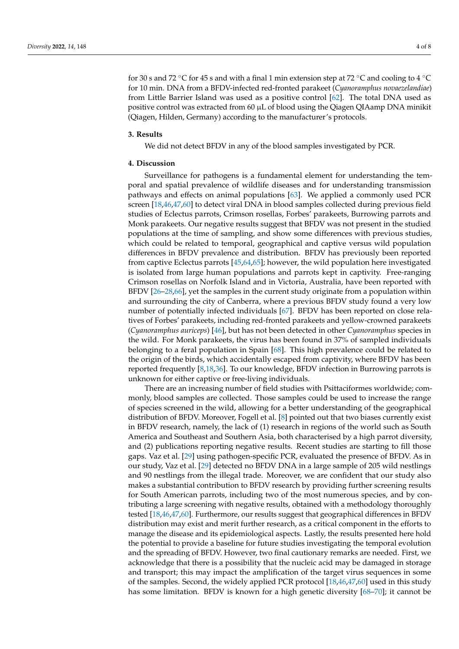for 30 s and 72 °C for 45 s and with a final 1 min extension step at 72 °C and cooling to 4 °C for 10 min. DNA from a BFDV-infected red-fronted parakeet (*Cyanoramphus novaezelandiae*) from Little Barrier Island was used as a positive control [\[62\]](#page-7-7). The total DNA used as positive control was extracted from 60  $\mu$ L of blood using the Qiagen QIAamp DNA minikit (Qiagen, Hilden, Germany) according to the manufacturer's protocols.

### **3. Results**

We did not detect BFDV in any of the blood samples investigated by PCR.

#### **4. Discussion**

Surveillance for pathogens is a fundamental element for understanding the temporal and spatial prevalence of wildlife diseases and for understanding transmission pathways and effects on animal populations [\[63\]](#page-7-8). We applied a commonly used PCR screen [\[18](#page-5-10)[,46](#page-6-16)[,47](#page-6-22)[,60\]](#page-7-5) to detect viral DNA in blood samples collected during previous field studies of Eclectus parrots, Crimson rosellas, Forbes' parakeets, Burrowing parrots and Monk parakeets. Our negative results suggest that BFDV was not present in the studied populations at the time of sampling, and show some differences with previous studies, which could be related to temporal, geographical and captive versus wild population differences in BFDV prevalence and distribution. BFDV has previously been reported from captive Eclectus parrots [\[45,](#page-6-14)[64,](#page-7-9)[65\]](#page-7-10); however, the wild population here investigated is isolated from large human populations and parrots kept in captivity. Free-ranging Crimson rosellas on Norfolk Island and in Victoria, Australia, have been reported with BFDV [\[26–](#page-5-15)[28](#page-5-16)[,66\]](#page-7-11), yet the samples in the current study originate from a population within and surrounding the city of Canberra, where a previous BFDV study found a very low number of potentially infected individuals [\[67\]](#page-7-12). BFDV has been reported on close relatives of Forbes' parakeets, including red-fronted parakeets and yellow-crowned parakeets (*Cyanoramphus auriceps*) [\[46\]](#page-6-16), but has not been detected in other *Cyanoramphus* species in the wild. For Monk parakeets, the virus has been found in 37% of sampled individuals belonging to a feral population in Spain [\[68\]](#page-7-13). This high prevalence could be related to the origin of the birds, which accidentally escaped from captivity, where BFDV has been reported frequently [\[8](#page-5-1)[,18](#page-5-10)[,36\]](#page-6-6). To our knowledge, BFDV infection in Burrowing parrots is unknown for either captive or free-living individuals.

There are an increasing number of field studies with Psittaciformes worldwide; commonly, blood samples are collected. Those samples could be used to increase the range of species screened in the wild, allowing for a better understanding of the geographical distribution of BFDV. Moreover, Fogell et al. [\[8\]](#page-5-1) pointed out that two biases currently exist in BFDV research, namely, the lack of (1) research in regions of the world such as South America and Southeast and Southern Asia, both characterised by a high parrot diversity, and (2) publications reporting negative results. Recent studies are starting to fill those gaps. Vaz et al. [\[29\]](#page-5-13) using pathogen-specific PCR, evaluated the presence of BFDV. As in our study, Vaz et al. [\[29\]](#page-5-13) detected no BFDV DNA in a large sample of 205 wild nestlings and 90 nestlings from the illegal trade. Moreover, we are confident that our study also makes a substantial contribution to BFDV research by providing further screening results for South American parrots, including two of the most numerous species, and by contributing a large screening with negative results, obtained with a methodology thoroughly tested [\[18,](#page-5-10)[46](#page-6-16)[,47](#page-6-22)[,60\]](#page-7-5). Furthermore, our results suggest that geographical differences in BFDV distribution may exist and merit further research, as a critical component in the efforts to manage the disease and its epidemiological aspects. Lastly, the results presented here hold the potential to provide a baseline for future studies investigating the temporal evolution and the spreading of BFDV. However, two final cautionary remarks are needed. First, we acknowledge that there is a possibility that the nucleic acid may be damaged in storage and transport; this may impact the amplification of the target virus sequences in some of the samples. Second, the widely applied PCR protocol [\[18](#page-5-10)[,46](#page-6-16)[,47](#page-6-22)[,60\]](#page-7-5) used in this study has some limitation. BFDV is known for a high genetic diversity [\[68–](#page-7-13)[70\]](#page-7-14); it cannot be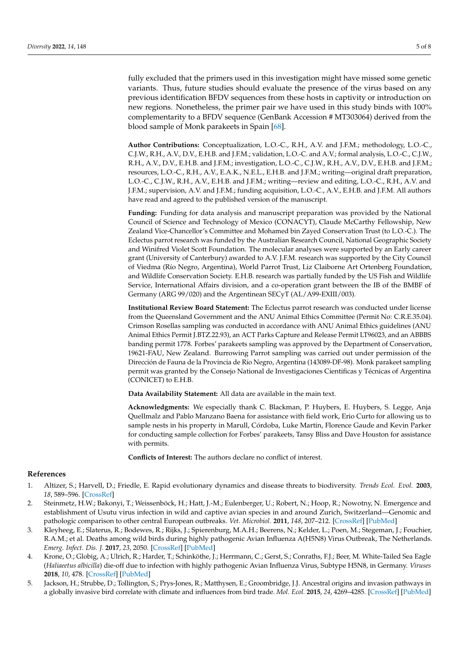fully excluded that the primers used in this investigation might have missed some genetic variants. Thus, future studies should evaluate the presence of the virus based on any previous identification BFDV sequences from these hosts in captivity or introduction on new regions. Nonetheless, the primer pair we have used in this study binds with 100% complementarity to a BFDV sequence (GenBank Accession # MT303064) derived from the blood sample of Monk parakeets in Spain [\[68\]](#page-7-13).

**Author Contributions:** Conceptualization, L.O.-C., R.H., A.V. and J.F.M.; methodology, L.O.-C., C.J.W., R.H., A.V., D.V., E.H.B. and J.F.M.; validation, L.O.-C. and A.V.; formal analysis, L.O.-C., C.J.W., R.H., A.V., D.V., E.H.B. and J.F.M.; investigation, L.O.-C., C.J.W., R.H., A.V., D.V., E.H.B. and J.F.M.; resources, L.O.-C., R.H., A.V., E.A.K., N.E.L., E.H.B. and J.F.M.; writing—original draft preparation, L.O.-C., C.J.W., R.H., A.V., E.H.B. and J.F.M.; writing—review and editing, L.O.-C., R.H., A.V. and J.F.M.; supervision, A.V. and J.F.M.; funding acquisition, L.O.-C., A.V., E.H.B. and J.F.M. All authors have read and agreed to the published version of the manuscript.

**Funding:** Funding for data analysis and manuscript preparation was provided by the National Council of Science and Technology of Mexico (CONACYT), Claude McCarthy Fellowship, New Zealand Vice-Chancellor's Committee and Mohamed bin Zayed Conservation Trust (to L.O.-C.). The Eclectus parrot research was funded by the Australian Research Council, National Geographic Society and Winifred Violet Scott Foundation. The molecular analyses were supported by an Early career grant (University of Canterbury) awarded to A.V. J.F.M. research was supported by the City Council of Viedma (Río Negro, Argentina), World Parrot Trust, Liz Claiborne Art Ortenberg Foundation, and Wildlife Conservation Society. E.H.B. research was partially funded by the US Fish and Wildlife Service, International Affairs division, and a co-operation grant between the IB of the BMBF of Germany (ARG 99/020) and the Argentinean SECyT (AL/A99-EXIII/003).

**Institutional Review Board Statement:** The Eclectus parrot research was conducted under license from the Queensland Government and the ANU Animal Ethics Committee (Permit No: C.R.E.35.04). Crimson Rosellas sampling was conducted in accordance with ANU Animal Ethics guidelines (ANU Animal Ethics Permit J.BTZ.22.93), an ACT Parks Capture and Release Permit LT96023, and an ABBBS banding permit 1778. Forbes' parakeets sampling was approved by the Department of Conservation, 19621-FAU, New Zealand. Burrowing Parrot sampling was carried out under permission of the Dirección de Fauna de la Provincia de Río Negro, Argentina (143089-DF-98). Monk parakeet sampling permit was granted by the Consejo National de Investigaciones Cientificas y Técnicas of Argentina (CONICET) to E.H.B.

**Data Availability Statement:** All data are available in the main text.

**Acknowledgments:** We especially thank C. Blackman, P. Huybers, E. Huybers, S. Legge, Anja Quellmalz and Pablo Manzano Baena for assistance with field work, Erio Curto for allowing us to sample nests in his property in Marull, Córdoba, Luke Martin, Florence Gaude and Kevin Parker for conducting sample collection for Forbes' parakeets, Tansy Bliss and Dave Houston for assistance with permits.

**Conflicts of Interest:** The authors declare no conflict of interest.

#### **References**

- <span id="page-4-0"></span>1. Altizer, S.; Harvell, D.; Friedle, E. Rapid evolutionary dynamics and disease threats to biodiversity. *Trends Ecol. Evol.* **2003**, *18*, 589–596. [\[CrossRef\]](http://doi.org/10.1016/j.tree.2003.08.013)
- <span id="page-4-1"></span>2. Steinmetz, H.W.; Bakonyi, T.; Weissenböck, H.; Hatt, J.-M.; Eulenberger, U.; Robert, N.; Hoop, R.; Nowotny, N. Emergence and establishment of Usutu virus infection in wild and captive avian species in and around Zurich, Switzerland—Genomic and pathologic comparison to other central European outbreaks. *Vet. Microbiol.* **2011**, *148*, 207–212. [\[CrossRef\]](http://doi.org/10.1016/j.vetmic.2010.09.018) [\[PubMed\]](http://www.ncbi.nlm.nih.gov/pubmed/20980109)
- 3. Kleyheeg, E.; Slaterus, R.; Bodewes, R.; Rijks, J.; Spierenburg, M.A.H.; Beerens, N.; Kelder, L.; Poen, M.; Stegeman, J.; Fouchier, R.A.M.; et al. Deaths among wild birds during highly pathogenic Avian Influenza A(H5N8) Virus Outbreak, The Netherlands. *Emerg. Infect. Dis. J.* **2017**, *23*, 2050. [\[CrossRef\]](http://doi.org/10.3201/eid2312.171086) [\[PubMed\]](http://www.ncbi.nlm.nih.gov/pubmed/29148372)
- <span id="page-4-2"></span>4. Krone, O.; Globig, A.; Ulrich, R.; Harder, T.; Schinköthe, J.; Herrmann, C.; Gerst, S.; Conraths, F.J.; Beer, M. White-Tailed Sea Eagle (*Haliaeetus albicilla*) die-off due to infection with highly pathogenic Avian Influenza Virus, Subtype H5N8, in Germany. *Viruses* **2018**, *10*, 478. [\[CrossRef\]](http://doi.org/10.3390/v10090478) [\[PubMed\]](http://www.ncbi.nlm.nih.gov/pubmed/30205456)
- <span id="page-4-3"></span>5. Jackson, H.; Strubbe, D.; Tollington, S.; Prys-Jones, R.; Matthysen, E.; Groombridge, J.J. Ancestral origins and invasion pathways in a globally invasive bird correlate with climate and influences from bird trade. *Mol. Ecol.* **2015**, *24*, 4269–4285. [\[CrossRef\]](http://doi.org/10.1111/mec.13307) [\[PubMed\]](http://www.ncbi.nlm.nih.gov/pubmed/26172573)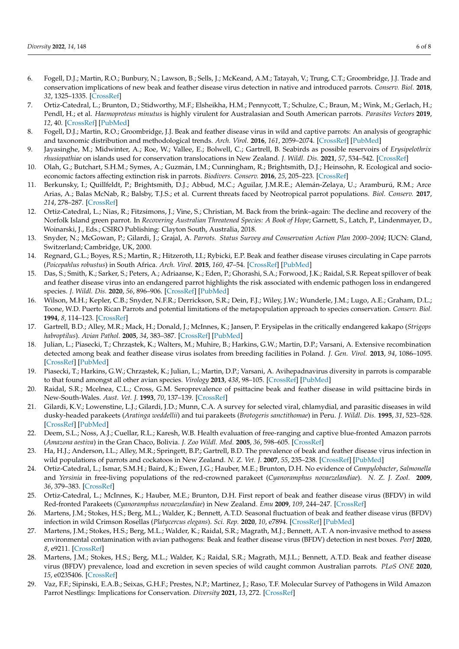- <span id="page-5-14"></span>6. Fogell, D.J.; Martin, R.O.; Bunbury, N.; Lawson, B.; Sells, J.; McKeand, A.M.; Tatayah, V.; Trung, C.T.; Groombridge, J.J. Trade and conservation implications of new beak and feather disease virus detection in native and introduced parrots. *Conserv. Biol.* **2018**, *32*, 1325–1335. [\[CrossRef\]](http://doi.org/10.1111/cobi.13214)
- <span id="page-5-0"></span>7. Ortiz-Catedral, L.; Brunton, D.; Stidworthy, M.F.; Elsheikha, H.M.; Pennycott, T.; Schulze, C.; Braun, M.; Wink, M.; Gerlach, H.; Pendl, H.; et al. *Haemoproteus minutus* is highly virulent for Australasian and South American parrots. *Parasites Vectors* **2019**, *12*, 40. [\[CrossRef\]](http://doi.org/10.1186/s13071-018-3255-0) [\[PubMed\]](http://www.ncbi.nlm.nih.gov/pubmed/30654841)
- <span id="page-5-1"></span>8. Fogell, D.J.; Martin, R.O.; Groombridge, J.J. Beak and feather disease virus in wild and captive parrots: An analysis of geographic and taxonomic distribution and methodological trends. *Arch. Virol.* **2016**, *161*, 2059–2074. [\[CrossRef\]](http://doi.org/10.1007/s00705-016-2871-2) [\[PubMed\]](http://www.ncbi.nlm.nih.gov/pubmed/27151279)
- <span id="page-5-2"></span>9. Jayasinghe, M.; Midwinter, A.; Roe, W.; Vallee, E.; Bolwell, C.; Gartrell, B. Seabirds as possible reservoirs of *Erysipelothrix rhusiopathiae* on islands used for conservation translocations in New Zealand. *J. Wildl. Dis.* **2021**, *57*, 534–542. [\[CrossRef\]](http://doi.org/10.7589/JWD-D-20-00177)
- <span id="page-5-3"></span>10. Olah, G.; Butchart, S.H.M.; Symes, A.; Guzmán, I.M.; Cunningham, R.; Brightsmith, D.J.; Heinsohn, R. Ecological and socioeconomic factors affecting extinction risk in parrots. *Biodivers. Conserv.* **2016**, *25*, 205–223. [\[CrossRef\]](http://doi.org/10.1007/s10531-015-1036-z)
- <span id="page-5-4"></span>11. Berkunsky, I.; Quillfeldt, P.; Brightsmith, D.J.; Abbud, M.C.; Aguilar, J.M.R.E.; Alemán-Zelaya, U.; Aramburú, R.M.; Arce Arias, A.; Balas McNab, R.; Balsby, T.J.S.; et al. Current threats faced by Neotropical parrot populations. *Biol. Conserv.* **2017**, *214*, 278–287. [\[CrossRef\]](http://doi.org/10.1016/j.biocon.2017.08.016)
- <span id="page-5-5"></span>12. Ortiz-Catedral, L.; Nias, R.; Fitzsimons, J.; Vine, S.; Christian, M. Back from the brink–again: The decline and recovery of the Norfolk Island green parrot. In *Recovering Australian Threatened Species: A Book of Hope*; Garnett, S., Latch, P., Lindenmayer, D., Woinarski, J., Eds.; CSIRO Publishing: Clayton South, Australia, 2018.
- <span id="page-5-6"></span>13. Snyder, N.; McGowan, P.; Gilardi, J.; Grajal, A. *Parrots. Status Survey and Conservation Action Plan 2000–2004*; IUCN: Gland, Switzerland; Cambridge, UK, 2000.
- 14. Regnard, G.L.; Boyes, R.S.; Martin, R.; Hitzeroth, I.I.; Rybicki, E.P. Beak and feather disease viruses circulating in Cape parrots (*Poicepahlus robustus*) in South Africa. *Arch. Virol.* **2015**, *160*, 47–54. [\[CrossRef\]](http://doi.org/10.1007/s00705-014-2226-9) [\[PubMed\]](http://www.ncbi.nlm.nih.gov/pubmed/25209153)
- <span id="page-5-7"></span>15. Das, S.; Smith, K.; Sarker, S.; Peters, A.; Adriaanse, K.; Eden, P.; Ghorashi, S.A.; Forwood, J.K.; Raidal, S.R. Repeat spillover of beak and feather disease virus into an endangered parrot highlights the risk associated with endemic pathogen loss in endangered species. *J. Wildl. Dis.* **2020**, *56*, 896–906. [\[CrossRef\]](http://doi.org/10.7589/2018-06-154) [\[PubMed\]](http://www.ncbi.nlm.nih.gov/pubmed/33600597)
- <span id="page-5-8"></span>16. Wilson, M.H.; Kepler, C.B.; Snyder, N.F.R.; Derrickson, S.R.; Dein, F.J.; Wiley, J.W.; Wunderle, J.M.; Lugo, A.E.; Graham, D.L.; Toone, W.D. Puerto Rican Parrots and potential limitations of the metapopulation approach to species conservation. *Conserv. Biol.* **1994**, *8*, 114–123. [\[CrossRef\]](http://doi.org/10.1046/j.1523-1739.1994.08010114.x)
- <span id="page-5-9"></span>17. Gartrell, B.D.; Alley, M.R.; Mack, H.; Donald, J.; McInnes, K.; Jansen, P. Erysipelas in the critically endangered kakapo (*Strigops habroptilus*). *Avian Pathol.* **2005**, *34*, 383–387. [\[CrossRef\]](http://doi.org/10.1080/03079450500268583) [\[PubMed\]](http://www.ncbi.nlm.nih.gov/pubmed/16236568)
- <span id="page-5-10"></span>18. Julian, L.; Piasecki, T.; Chrząstek, K.; Walters, M.; Muhire, B.; Harkins, G.W.; Martin, D.P.; Varsani, A. Extensive recombination detected among beak and feather disease virus isolates from breeding facilities in Poland. *J. Gen. Virol.* **2013**, *94*, 1086–1095. [\[CrossRef\]](http://doi.org/10.1099/vir.0.050179-0) [\[PubMed\]](http://www.ncbi.nlm.nih.gov/pubmed/23324468)
- <span id="page-5-11"></span>19. Piasecki, T.; Harkins, G.W.; Chrząstek, K.; Julian, L.; Martin, D.P.; Varsani, A. Avihepadnavirus diversity in parrots is comparable to that found amongst all other avian species. *Virology* **2013**, *438*, 98–105. [\[CrossRef\]](http://doi.org/10.1016/j.virol.2013.01.009) [\[PubMed\]](http://www.ncbi.nlm.nih.gov/pubmed/23411008)
- <span id="page-5-12"></span>20. Raidal, S.R.; Mcelnea, C.L.; Cross, G.M. Seroprevalence of psittacine beak and feather disease in wild psittacine birds in New-South-Wales. *Aust. Vet. J.* **1993**, *70*, 137–139. [\[CrossRef\]](http://doi.org/10.1111/j.1751-0813.1993.tb06105.x)
- 21. Gilardi, K.V.; Lowenstine, L.J.; Gilardi, J.D.; Munn, C.A. A survey for selected viral, chlamydial, and parasitic diseases in wild dusky-headed parakeets (*Aratinga weddellii*) and tui parakeets (*Brotogeris sanctithomae*) in Peru. *J. Wildl. Dis.* **1995**, *31*, 523–528. [\[CrossRef\]](http://doi.org/10.7589/0090-3558-31.4.523) [\[PubMed\]](http://www.ncbi.nlm.nih.gov/pubmed/8592384)
- 22. Deem, S.L.; Noss, A.J.; Cuellar, R.L.; Karesh, W.B. Health evaluation of free-ranging and captive blue-fronted Amazon parrots (*Amazona aestiva*) in the Gran Chaco, Bolivia. *J. Zoo Wildl. Med.* **2005**, *36*, 598–605. [\[CrossRef\]](http://doi.org/10.1638/04094.1)
- 23. Ha, H.J.; Anderson, I.L.; Alley, M.R.; Springett, B.P.; Gartrell, B.D. The prevalence of beak and feather disease virus infection in wild populations of parrots and cockatoos in New Zealand. *N. Z. Vet. J.* **2007**, *55*, 235–238. [\[CrossRef\]](http://doi.org/10.1080/00480169.2007.36774) [\[PubMed\]](http://www.ncbi.nlm.nih.gov/pubmed/17928900)
- 24. Ortiz-Catedral, L.; Ismar, S.M.H.; Baird, K.; Ewen, J.G.; Hauber, M.E.; Brunton, D.H. No evidence of *Campylobacter*, *Salmonella* and *Yersinia* in free-living populations of the red-crowned parakeet (*Cyanoramphus novaezelandiae*). *N. Z. J. Zool.* **2009**, *36*, 379–383. [\[CrossRef\]](http://doi.org/10.1080/03014223.2009.9651469)
- 25. Ortiz-Catedral, L.; McInnes, K.; Hauber, M.E.; Brunton, D.H. First report of beak and feather disease virus (BFDV) in wild Red-fronted Parakeets (*Cyanoramphus novaezelandiae*) in New Zealand. *Emu* **2009**, *109*, 244–247. [\[CrossRef\]](http://doi.org/10.1071/MU09028)
- <span id="page-5-15"></span>26. Martens, J.M.; Stokes, H.S.; Berg, M.L.; Walder, K.; Bennett, A.T.D. Seasonal fluctuation of beak and feather disease virus (BFDV) infection in wild Crimson Rosellas (*Platycercus elegans*). *Sci. Rep.* **2020**, *10*, e7894. [\[CrossRef\]](http://doi.org/10.1038/s41598-020-64631-y) [\[PubMed\]](http://www.ncbi.nlm.nih.gov/pubmed/32398741)
- 27. Martens, J.M.; Stokes, H.S.; Berg, M.L.; Walder, K.; Raidal, S.R.; Magrath, M.J.; Bennett, A.T. A non-invasive method to assess environmental contamination with avian pathogens: Beak and feather disease virus (BFDV) detection in nest boxes. *PeerJ* **2020**, *8*, e9211. [\[CrossRef\]](http://doi.org/10.7717/peerj.9211)
- <span id="page-5-16"></span>28. Martens, J.M.; Stokes, H.S.; Berg, M.L.; Walder, K.; Raidal, S.R.; Magrath, M.J.L.; Bennett, A.T.D. Beak and feather disease virus (BFDV) prevalence, load and excretion in seven species of wild caught common Australian parrots. *PLoS ONE* **2020**, *15*, e0235406. [\[CrossRef\]](http://doi.org/10.1371/journal.pone.0235406)
- <span id="page-5-13"></span>29. Vaz, F.F.; Sipinski, E.A.B.; Seixas, G.H.F.; Prestes, N.P.; Martinez, J.; Raso, T.F. Molecular Survey of Pathogens in Wild Amazon Parrot Nestlings: Implications for Conservation. *Diversity* **2021**, *13*, 272. [\[CrossRef\]](http://doi.org/10.3390/d13060272)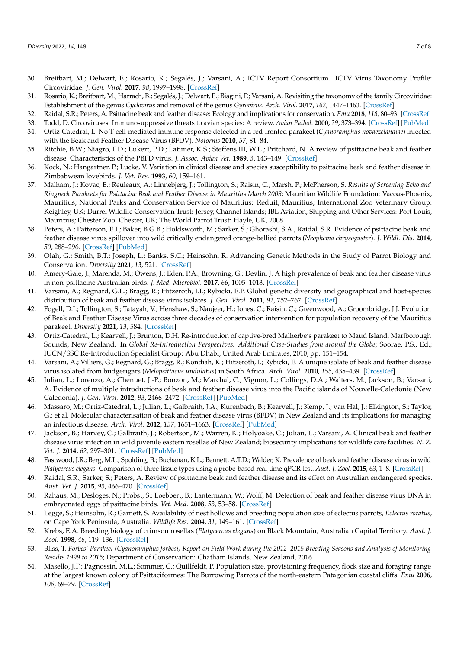- <span id="page-6-0"></span>30. Breitbart, M.; Delwart, E.; Rosario, K.; Segalés, J.; Varsani, A.; ICTV Report Consortium. ICTV Virus Taxonomy Profile: Circoviridae. *J. Gen. Virol.* **2017**, *98*, 1997–1998. [\[CrossRef\]](http://doi.org/10.1099/jgv.0.000871)
- <span id="page-6-1"></span>31. Rosario, K.; Breitbart, M.; Harrach, B.; Segalés, J.; Delwart, E.; Biagini, P.; Varsani, A. Revisiting the taxonomy of the family Circoviridae: Establishment of the genus *Cyclovirus* and removal of the genus *Gyrovirus*. *Arch. Virol.* **2017**, *162*, 1447–1463. [\[CrossRef\]](http://doi.org/10.1007/s00705-017-3247-y)
- <span id="page-6-2"></span>32. Raidal, S.R.; Peters, A. Psittacine beak and feather disease: Ecology and implications for conservation. *Emu* **2018**, *118*, 80–93. [\[CrossRef\]](http://doi.org/10.1080/01584197.2017.1387029)
- <span id="page-6-3"></span>33. Todd, D. Circoviruses: Immunosuppressive threats to avian species: A review. *Avian Pathol.* **2000**, *29*, 373–394. [\[CrossRef\]](http://doi.org/10.1080/030794500750047126) [\[PubMed\]](http://www.ncbi.nlm.nih.gov/pubmed/19184829)
- <span id="page-6-4"></span>34. Ortiz-Catedral, L. No T-cell-mediated immune response detected in a red-fronted parakeet (*Cyanoramphus novaezelandiae*) infected with the Beak and Feather Disease Virus (BFDV). *Notornis* **2010**, *57*, 81–84.
- <span id="page-6-5"></span>35. Ritchie, B.W.; Niagro, F.D.; Lukert, P.D.; Latimer, K.S.; Steffens III, W.L.; Pritchard, N. A review of psittacine beak and feather disease: Characteristics of the PBFD virus. *J. Assoc. Avian Vet.* **1989**, *3*, 143–149. [\[CrossRef\]](http://doi.org/10.2307/30143076)
- <span id="page-6-6"></span>36. Kock, N.; Hangartner, P.; Lucke, V. Variation in clinical disease and species susceptibility to psittacine beak and feather disease in Zimbabwean lovebirds. *J. Vet. Res.* **1993**, *60*, 159–161.
- <span id="page-6-7"></span>37. Malham, J.; Kovac, E.; Reuleaux, A.; Linnebjerg, J.; Tollington, S.; Raisin, C.; Marsh, P.; McPherson, S. *Results of Screening Echo and Ringneck Parakeets for Psittacine Beak and Feather Disease in Mauritius March 2008*; Mauritian Wildlife Foundation: Vacoas-Phoenix, Mauritius; National Parks and Conservation Service of Mauritius: Reduit, Mauritius; International Zoo Veterinary Group: Keighley, UK; Durrel Wildlife Conservation Trust: Jersey, Channel Islands; IBL Aviation, Shipping and Other Services: Port Louis, Mauritius; Chester Zoo: Chester, UK; The World Parrot Trust: Hayle, UK, 2008.
- 38. Peters, A.; Patterson, E.I.; Baker, B.G.B.; Holdsworth, M.; Sarker, S.; Ghorashi, S.A.; Raidal, S.R. Evidence of psittacine beak and feather disease virus spillover into wild critically endangered orange-bellied parrots (*Neophema chrysogaster*). *J. Wildl. Dis.* **2014**, *50*, 288–296. [\[CrossRef\]](http://doi.org/10.7589/2013-05-121) [\[PubMed\]](http://www.ncbi.nlm.nih.gov/pubmed/24484492)
- <span id="page-6-8"></span>39. Olah, G.; Smith, B.T.; Joseph, L.; Banks, S.C.; Heinsohn, R. Advancing Genetic Methods in the Study of Parrot Biology and Conservation. *Diversity* **2021**, *13*, 521. [\[CrossRef\]](http://doi.org/10.3390/d13110521)
- <span id="page-6-9"></span>40. Amery-Gale, J.; Marenda, M.; Owens, J.; Eden, P.A.; Browning, G.; Devlin, J. A high prevalence of beak and feather disease virus in non-psittacine Australian birds. *J. Med. Microbiol.* **2017**, *66*, 1005–1013. [\[CrossRef\]](http://doi.org/10.1099/jmm.0.000516)
- <span id="page-6-10"></span>41. Varsani, A.; Regnard, G.L.; Bragg, R.; Hitzeroth, I.I.; Rybicki, E.P. Global genetic diversity and geographical and host-species distribution of beak and feather disease virus isolates. *J. Gen. Virol.* **2011**, *92*, 752–767. [\[CrossRef\]](http://doi.org/10.1099/vir.0.028126-0)
- <span id="page-6-11"></span>42. Fogell, D.J.; Tollington, S.; Tatayah, V.; Henshaw, S.; Naujeer, H.; Jones, C.; Raisin, C.; Greenwood, A.; Groombridge, J.J. Evolution of Beak and Feather Disease Virus across three decades of conservation intervention for population recovery of the Mauritius parakeet. *Diversity* **2021**, *13*, 584. [\[CrossRef\]](http://doi.org/10.3390/d13110584)
- <span id="page-6-12"></span>43. Ortiz-Catedral, L.; Kearvell, J.; Brunton, D.H. Re-introduction of captive-bred Malherbe's parakeet to Maud Island, Marlborough Sounds, New Zealand. In *Global Re-Introduction Perspectives: Additional Case-Studies from around the Globe*; Soorae, P.S., Ed.; IUCN/SSC Re-Introduction Specialist Group: Abu Dhabi, United Arab Emirates, 2010; pp. 151–154.
- <span id="page-6-13"></span>44. Varsani, A.; Villiers, G.; Regnard, G.; Bragg, R.; Kondiah, K.; Hitzeroth, I.; Rybicki, E. A unique isolate of beak and feather disease virus isolated from budgerigars (*Melopsittacus undulatus*) in South Africa. *Arch. Virol.* **2010**, *155*, 435–439. [\[CrossRef\]](http://doi.org/10.1007/s00705-010-0589-0)
- <span id="page-6-14"></span>45. Julian, L.; Lorenzo, A.; Chenuet, J.-P.; Bonzon, M.; Marchal, C.; Vignon, L.; Collings, D.A.; Walters, M.; Jackson, B.; Varsani, A. Evidence of multiple introductions of beak and feather disease virus into the Pacific islands of Nouvelle-Caledonie (New Caledonia). *J. Gen. Virol.* **2012**, *93*, 2466–2472. [\[CrossRef\]](http://doi.org/10.1099/vir.0.045575-0) [\[PubMed\]](http://www.ncbi.nlm.nih.gov/pubmed/22855782)
- <span id="page-6-16"></span>46. Massaro, M.; Ortiz-Catedral, L.; Julian, L.; Galbraith, J.A.; Kurenbach, B.; Kearvell, J.; Kemp, J.; van Hal, J.; Elkington, S.; Taylor, G.; et al. Molecular characterisation of beak and feather disease virus (BFDV) in New Zealand and its implications for managing an infectious disease. *Arch. Virol.* **2012**, *157*, 1651–1663. [\[CrossRef\]](http://doi.org/10.1007/s00705-012-1336-5) [\[PubMed\]](http://www.ncbi.nlm.nih.gov/pubmed/22638639)
- <span id="page-6-22"></span>47. Jackson, B.; Harvey, C.; Galbraith, J.; Robertson, M.; Warren, K.; Holyoake, C.; Julian, L.; Varsani, A. Clinical beak and feather disease virus infection in wild juvenile eastern rosellas of New Zealand; biosecurity implications for wildlife care facilities. *N. Z. Vet. J.* **2014**, *62*, 297–301. [\[CrossRef\]](http://doi.org/10.1080/00480169.2014.909750) [\[PubMed\]](http://www.ncbi.nlm.nih.gov/pubmed/24916448)
- 48. Eastwood, J.R.; Berg, M.L.; Spolding, B.; Buchanan, K.L.; Bennett, A.T.D.; Walder, K. Prevalence of beak and feather disease virus in wild *Platycercus elegans*: Comparison of three tissue types using a probe-based real-time qPCR test. *Aust. J. Zool.* **2015**, *63*, 1–8. [\[CrossRef\]](http://doi.org/10.1071/ZO14052)
- <span id="page-6-15"></span>49. Raidal, S.R.; Sarker, S.; Peters, A. Review of psittacine beak and feather disease and its effect on Australian endangered species. *Aust. Vet. J.* **2015**, *93*, 466–470. [\[CrossRef\]](http://doi.org/10.1111/avj.12388)
- <span id="page-6-17"></span>50. Rahaus, M.; Desloges, N.; Probst, S.; Loebbert, B.; Lantermann, W.; Wolff, M. Detection of beak and feather disease virus DNA in embryonated eggs of psittacine birds. *Vet. Med.* **2008**, *53*, 53–58. [\[CrossRef\]](http://doi.org/10.17221/1932-VETMED)
- <span id="page-6-18"></span>51. Legge, S.; Heinsohn, R.; Garnett, S. Availability of nest hollows and breeding population size of eclectus parrots, *Eclectus roratus*, on Cape York Peninsula, Australia. *Wildlife Res.* **2004**, *31*, 149–161. [\[CrossRef\]](http://doi.org/10.1071/WR03020)
- <span id="page-6-19"></span>52. Krebs, E.A. Breeding biology of crimson rosellas (*Platycercus elegans*) on Black Mountain, Australian Capital Territory. *Aust. J. Zool.* **1998**, *46*, 119–136. [\[CrossRef\]](http://doi.org/10.1071/ZO97040)
- <span id="page-6-20"></span>53. Bliss, T. *Forbes' Parakeet (Cyanoramphus forbesi) Report on Field Work during the 2012–2015 Breeding Seasons and Analysis of Monitoring Results 1999 to 2015*; Department of Conservation: Chatham Islands, New Zealand, 2016.
- <span id="page-6-21"></span>54. Masello, J.F.; Pagnossin, M.L.; Sommer, C.; Quillfeldt, P. Population size, provisioning frequency, flock size and foraging range at the largest known colony of Psittaciformes: The Burrowing Parrots of the north-eastern Patagonian coastal cliffs. *Emu* **2006**, *106*, 69–79. [\[CrossRef\]](http://doi.org/10.1071/MU04047)